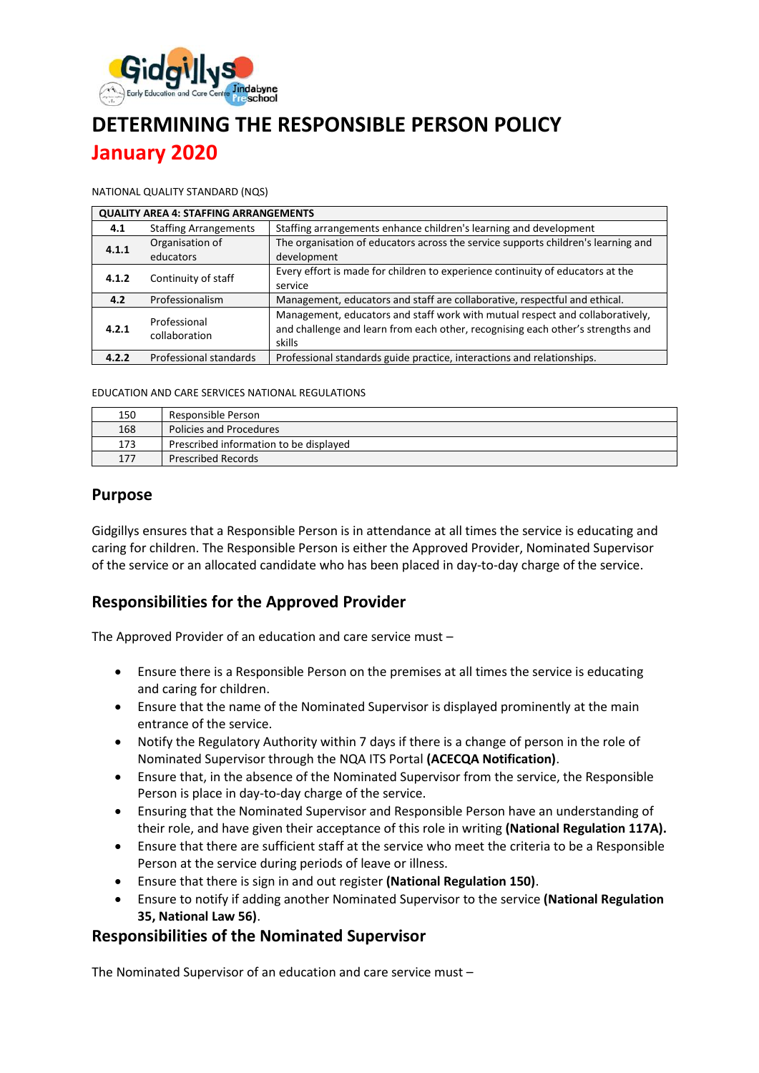

# **DETERMINING THE RESPONSIBLE PERSON POLICY January 2020**

NATIONAL QUALITY STANDARD (NQS)

| <b>QUALITY AREA 4: STAFFING ARRANGEMENTS</b> |                               |                                                                                   |  |  |
|----------------------------------------------|-------------------------------|-----------------------------------------------------------------------------------|--|--|
| 4.1                                          | <b>Staffing Arrangements</b>  | Staffing arrangements enhance children's learning and development                 |  |  |
| 4.1.1                                        | Organisation of               | The organisation of educators across the service supports children's learning and |  |  |
|                                              | educators                     | development                                                                       |  |  |
| 4.1.2                                        | Continuity of staff           | Every effort is made for children to experience continuity of educators at the    |  |  |
|                                              |                               | service                                                                           |  |  |
| 4.2                                          | Professionalism               | Management, educators and staff are collaborative, respectful and ethical.        |  |  |
| 4.2.1                                        | Professional<br>collaboration | Management, educators and staff work with mutual respect and collaboratively,     |  |  |
|                                              |                               | and challenge and learn from each other, recognising each other's strengths and   |  |  |
|                                              |                               | skills                                                                            |  |  |
| 4.2.2                                        | Professional standards        | Professional standards guide practice, interactions and relationships.            |  |  |

EDUCATION AND CARE SERVICES NATIONAL REGULATIONS

| 150 | Responsible Person                     |  |
|-----|----------------------------------------|--|
| 168 | <b>Policies and Procedures</b>         |  |
| 173 | Prescribed information to be displayed |  |
| 177 | <b>Prescribed Records</b>              |  |

#### **Purpose**

Gidgillys ensures that a Responsible Person is in attendance at all times the service is educating and caring for children. The Responsible Person is either the Approved Provider, Nominated Supervisor of the service or an allocated candidate who has been placed in day-to-day charge of the service.

# **Responsibilities for the Approved Provider**

The Approved Provider of an education and care service must –

- Ensure there is a Responsible Person on the premises at all times the service is educating and caring for children.
- Ensure that the name of the Nominated Supervisor is displayed prominently at the main entrance of the service.
- Notify the Regulatory Authority within 7 days if there is a change of person in the role of Nominated Supervisor through the NQA ITS Portal **(ACECQA Notification)**.
- Ensure that, in the absence of the Nominated Supervisor from the service, the Responsible Person is place in day-to-day charge of the service.
- Ensuring that the Nominated Supervisor and Responsible Person have an understanding of their role, and have given their acceptance of this role in writing **(National Regulation 117A).**
- Ensure that there are sufficient staff at the service who meet the criteria to be a Responsible Person at the service during periods of leave or illness.
- Ensure that there is sign in and out register **(National Regulation 150)**.
- Ensure to notify if adding another Nominated Supervisor to the service **(National Regulation 35, National Law 56)**.

# **Responsibilities of the Nominated Supervisor**

The Nominated Supervisor of an education and care service must –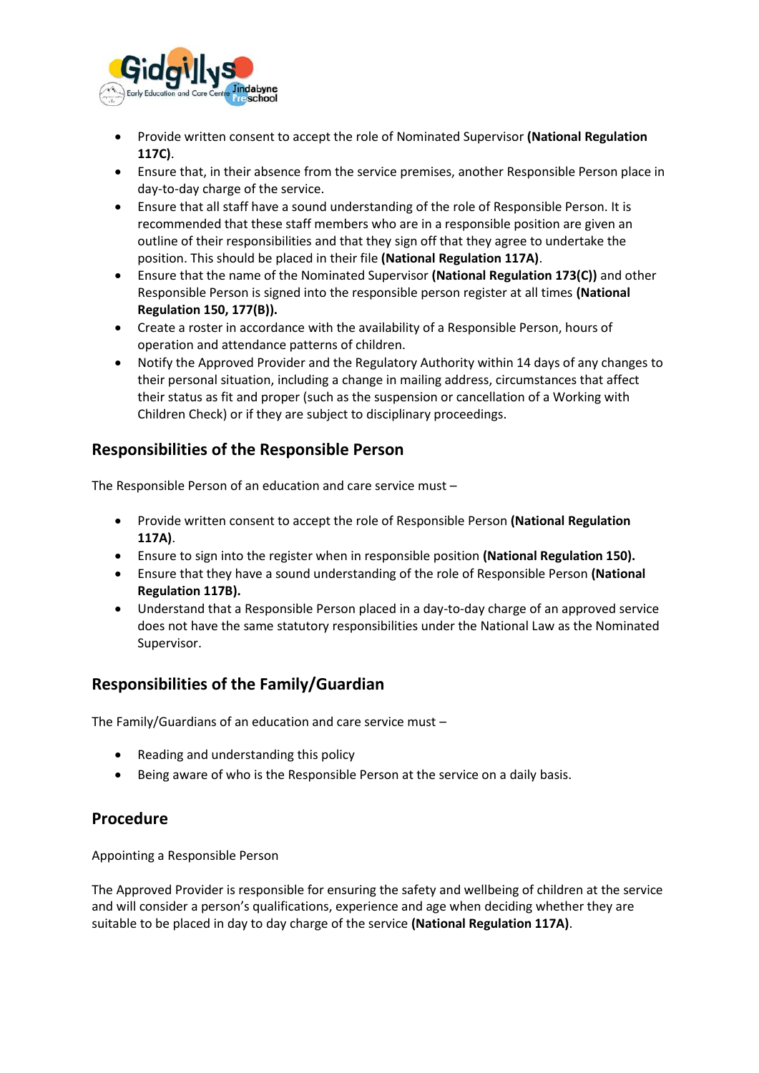

- Provide written consent to accept the role of Nominated Supervisor **(National Regulation 117C)**.
- Ensure that, in their absence from the service premises, another Responsible Person place in day-to-day charge of the service.
- Ensure that all staff have a sound understanding of the role of Responsible Person. It is recommended that these staff members who are in a responsible position are given an outline of their responsibilities and that they sign off that they agree to undertake the position. This should be placed in their file **(National Regulation 117A)**.
- Ensure that the name of the Nominated Supervisor **(National Regulation 173(C))** and other Responsible Person is signed into the responsible person register at all times **(National Regulation 150, 177(B)).**
- Create a roster in accordance with the availability of a Responsible Person, hours of operation and attendance patterns of children.
- Notify the Approved Provider and the Regulatory Authority within 14 days of any changes to their personal situation, including a change in mailing address, circumstances that affect their status as fit and proper (such as the suspension or cancellation of a Working with Children Check) or if they are subject to disciplinary proceedings.

#### **Responsibilities of the Responsible Person**

The Responsible Person of an education and care service must –

- Provide written consent to accept the role of Responsible Person **(National Regulation 117A)**.
- Ensure to sign into the register when in responsible position **(National Regulation 150).**
- Ensure that they have a sound understanding of the role of Responsible Person **(National Regulation 117B).**
- Understand that a Responsible Person placed in a day-to-day charge of an approved service does not have the same statutory responsibilities under the National Law as the Nominated Supervisor.

# **Responsibilities of the Family/Guardian**

The Family/Guardians of an education and care service must –

- Reading and understanding this policy
- Being aware of who is the Responsible Person at the service on a daily basis.

#### **Procedure**

Appointing a Responsible Person

The Approved Provider is responsible for ensuring the safety and wellbeing of children at the service and will consider a person's qualifications, experience and age when deciding whether they are suitable to be placed in day to day charge of the service **(National Regulation 117A)**.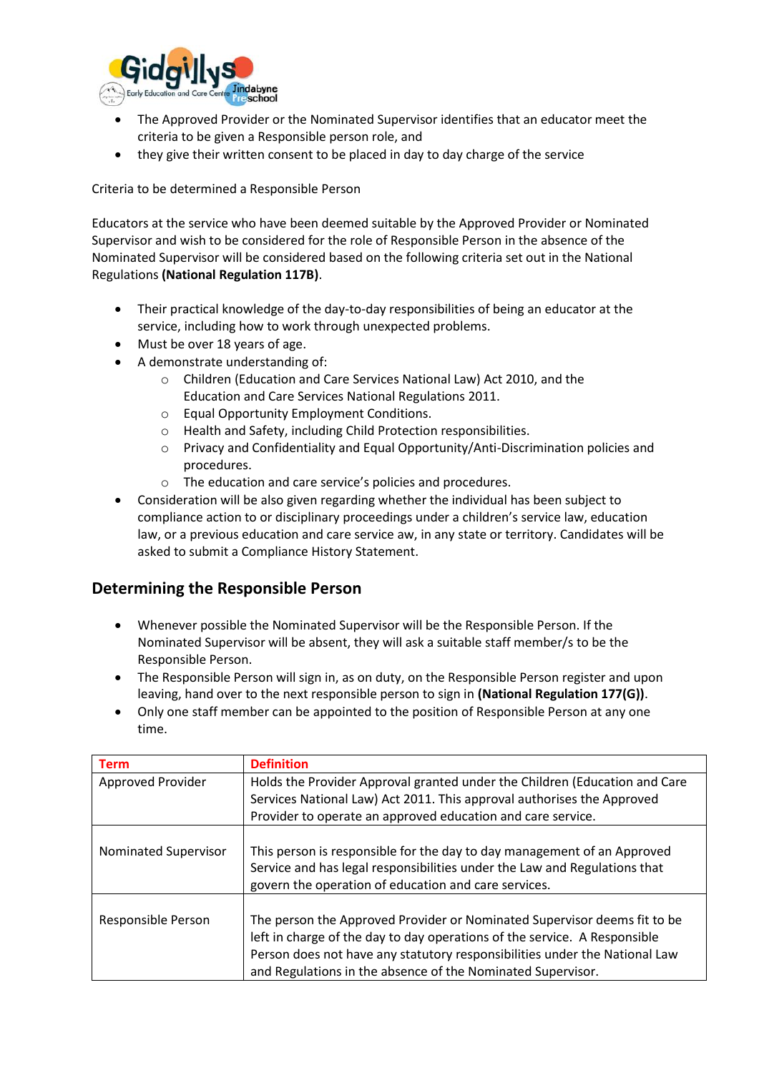

- The Approved Provider or the Nominated Supervisor identifies that an educator meet the criteria to be given a Responsible person role, and
- they give their written consent to be placed in day to day charge of the service

Criteria to be determined a Responsible Person

Educators at the service who have been deemed suitable by the Approved Provider or Nominated Supervisor and wish to be considered for the role of Responsible Person in the absence of the Nominated Supervisor will be considered based on the following criteria set out in the National Regulations **(National Regulation 117B)**.

- Their practical knowledge of the day-to-day responsibilities of being an educator at the service, including how to work through unexpected problems.
- Must be over 18 years of age.
- A demonstrate understanding of:
	- o Children (Education and Care Services National Law) Act 2010, and the Education and Care Services National Regulations 2011.
	- o Equal Opportunity Employment Conditions.
	- o Health and Safety, including Child Protection responsibilities.
	- o Privacy and Confidentiality and Equal Opportunity/Anti-Discrimination policies and procedures.
	- o The education and care service's policies and procedures.
- Consideration will be also given regarding whether the individual has been subject to compliance action to or disciplinary proceedings under a children's service law, education law, or a previous education and care service aw, in any state or territory. Candidates will be asked to submit a Compliance History Statement.

# **Determining the Responsible Person**

- Whenever possible the Nominated Supervisor will be the Responsible Person. If the Nominated Supervisor will be absent, they will ask a suitable staff member/s to be the Responsible Person.
- The Responsible Person will sign in, as on duty, on the Responsible Person register and upon leaving, hand over to the next responsible person to sign in **(National Regulation 177(G))**.
- Only one staff member can be appointed to the position of Responsible Person at any one time.

| <b>Term</b>          | <b>Definition</b>                                                                                                                                                                                                                                                                                  |
|----------------------|----------------------------------------------------------------------------------------------------------------------------------------------------------------------------------------------------------------------------------------------------------------------------------------------------|
| Approved Provider    | Holds the Provider Approval granted under the Children (Education and Care                                                                                                                                                                                                                         |
|                      | Services National Law) Act 2011. This approval authorises the Approved                                                                                                                                                                                                                             |
|                      | Provider to operate an approved education and care service.                                                                                                                                                                                                                                        |
| Nominated Supervisor | This person is responsible for the day to day management of an Approved<br>Service and has legal responsibilities under the Law and Regulations that<br>govern the operation of education and care services.                                                                                       |
| Responsible Person   | The person the Approved Provider or Nominated Supervisor deems fit to be<br>left in charge of the day to day operations of the service. A Responsible<br>Person does not have any statutory responsibilities under the National Law<br>and Regulations in the absence of the Nominated Supervisor. |